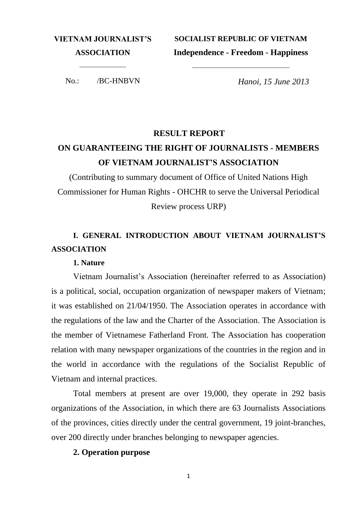**VIETNAM JOURNALIST'S ASSOCIATION**

**SOCIALIST REPUBLIC OF VIETNAM Independence - Freedom - Happiness**

*–––––––––––––––––––––––*

––––––––––– No.: /BC-HNBVN

*Hanoi, 15 June 2013*

#### **RESULT REPORT**

# **ON GUARANTEEING THE RIGHT OF JOURNALISTS - MEMBERS OF VIETNAM JOURNALIST'S ASSOCIATION**

(Contributing to summary document of Office of United Nations High Commissioner for Human Rights - OHCHR to serve the Universal Periodical Review process URP)

### **I. GENERAL INTRODUCTION ABOUT VIETNAM JOURNALIST'S ASSOCIATION**

#### **1. Nature**

Vietnam Journalist's Association (hereinafter referred to as Association) is a political, social, occupation organization of newspaper makers of Vietnam; it was established on 21/04/1950. The Association operates in accordance with the regulations of the law and the Charter of the Association. The Association is the member of Vietnamese Fatherland Front. The Association has cooperation relation with many newspaper organizations of the countries in the region and in the world in accordance with the regulations of the Socialist Republic of Vietnam and internal practices.

Total members at present are over 19,000, they operate in 292 basis organizations of the Association, in which there are 63 Journalists Associations of the provinces, cities directly under the central government, 19 joint-branches, over 200 directly under branches belonging to newspaper agencies.

#### **2. Operation purpose**

1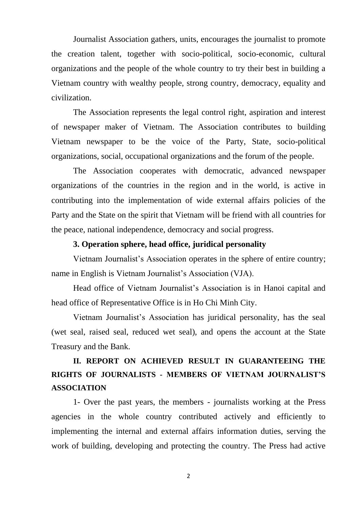Journalist Association gathers, units, encourages the journalist to promote the creation talent, together with socio-political, socio-economic, cultural organizations and the people of the whole country to try their best in building a Vietnam country with wealthy people, strong country, democracy, equality and civilization.

The Association represents the legal control right, aspiration and interest of newspaper maker of Vietnam. The Association contributes to building Vietnam newspaper to be the voice of the Party, State, socio-political organizations, social, occupational organizations and the forum of the people.

The Association cooperates with democratic, advanced newspaper organizations of the countries in the region and in the world, is active in contributing into the implementation of wide external affairs policies of the Party and the State on the spirit that Vietnam will be friend with all countries for the peace, national independence, democracy and social progress.

#### **3. Operation sphere, head office, juridical personality**

Vietnam Journalist's Association operates in the sphere of entire country; name in English is Vietnam Journalist's Association (VJA).

Head office of Vietnam Journalist's Association is in Hanoi capital and head office of Representative Office is in Ho Chi Minh City.

Vietnam Journalist's Association has juridical personality, has the seal (wet seal, raised seal, reduced wet seal), and opens the account at the State Treasury and the Bank.

## **II. REPORT ON ACHIEVED RESULT IN GUARANTEEING THE RIGHTS OF JOURNALISTS - MEMBERS OF VIETNAM JOURNALIST'S ASSOCIATION**

1- Over the past years, the members - journalists working at the Press agencies in the whole country contributed actively and efficiently to implementing the internal and external affairs information duties, serving the work of building, developing and protecting the country. The Press had active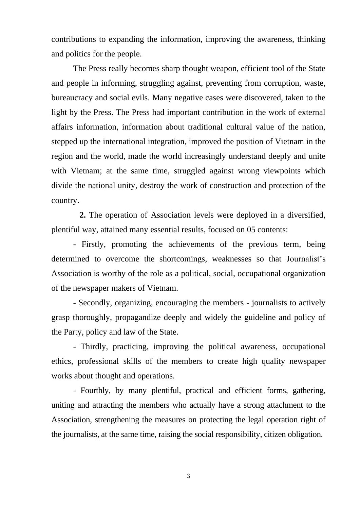contributions to expanding the information, improving the awareness, thinking and politics for the people.

The Press really becomes sharp thought weapon, efficient tool of the State and people in informing, struggling against, preventing from corruption, waste, bureaucracy and social evils. Many negative cases were discovered, taken to the light by the Press. The Press had important contribution in the work of external affairs information, information about traditional cultural value of the nation, stepped up the international integration, improved the position of Vietnam in the region and the world, made the world increasingly understand deeply and unite with Vietnam; at the same time, struggled against wrong viewpoints which divide the national unity, destroy the work of construction and protection of the country.

 **2.** The operation of Association levels were deployed in a diversified, plentiful way, attained many essential results, focused on 05 contents:

- Firstly, promoting the achievements of the previous term, being determined to overcome the shortcomings, weaknesses so that Journalist's Association is worthy of the role as a political, social, occupational organization of the newspaper makers of Vietnam.

- Secondly, organizing, encouraging the members - journalists to actively grasp thoroughly, propagandize deeply and widely the guideline and policy of the Party, policy and law of the State.

- Thirdly, practicing, improving the political awareness, occupational ethics, professional skills of the members to create high quality newspaper works about thought and operations.

- Fourthly, by many plentiful, practical and efficient forms, gathering, uniting and attracting the members who actually have a strong attachment to the Association, strengthening the measures on protecting the legal operation right of the journalists, at the same time, raising the social responsibility, citizen obligation.

3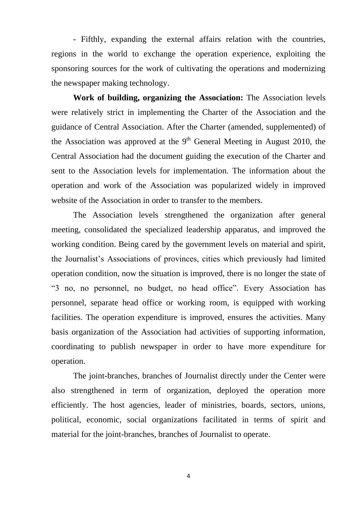- Fifthly, expanding the external affairs relation with the countries, regions in the world to exchange the operation experience, exploiting the sponsoring sources for the work of cultivating the operations and modernizing the newspaper making technology.

**Work of building, organizing the Association:** The Association levels were relatively strict in implementing the Charter of the Association and the guidance of Central Association. After the Charter (amended, supplemented) of the Association was approved at the  $9<sup>th</sup>$  General Meeting in August 2010, the Central Association had the document guiding the execution of the Charter and sent to the Association levels for implementation. The information about the operation and work of the Association was popularized widely in improved website of the Association in order to transfer to the members.

The Association levels strengthened the organization after general meeting, consolidated the specialized leadership apparatus, and improved the working condition. Being cared by the government levels on material and spirit, the Journalist's Associations of provinces, cities which previously had limited operation condition, now the situation is improved, there is no longer the state of "3 no, no personnel, no budget, no head office". Every Association has personnel, separate head office or working room, is equipped with working facilities. The operation expenditure is improved, ensures the activities. Many basis organization of the Association had activities of supporting information, coordinating to publish newspaper in order to have more expenditure for operation.

The joint-branches, branches of Journalist directly under the Center were also strengthened in term of organization, deployed the operation more efficiently. The host agencies, leader of ministries, boards, sectors, unions, political, economic, social organizations facilitated in terms of spirit and material for the joint-branches, branches of Journalist to operate.

4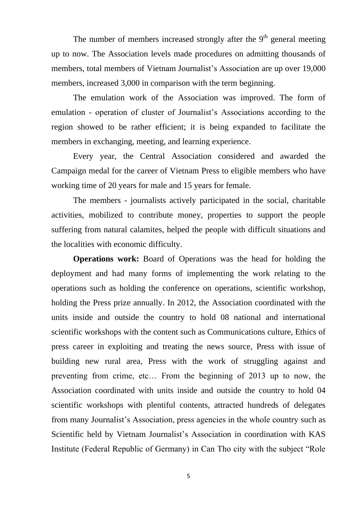The number of members increased strongly after the  $9<sup>th</sup>$  general meeting up to now. The Association levels made procedures on admitting thousands of members, total members of Vietnam Journalist's Association are up over 19,000 members, increased 3,000 in comparison with the term beginning.

The emulation work of the Association was improved. The form of emulation - operation of cluster of Journalist's Associations according to the region showed to be rather efficient; it is being expanded to facilitate the members in exchanging, meeting, and learning experience.

Every year, the Central Association considered and awarded the Campaign medal for the career of Vietnam Press to eligible members who have working time of 20 years for male and 15 years for female.

The members - journalists actively participated in the social, charitable activities, mobilized to contribute money, properties to support the people suffering from natural calamites, helped the people with difficult situations and the localities with economic difficulty.

**Operations work:** Board of Operations was the head for holding the deployment and had many forms of implementing the work relating to the operations such as holding the conference on operations, scientific workshop, holding the Press prize annually. In 2012, the Association coordinated with the units inside and outside the country to hold 08 national and international scientific workshops with the content such as Communications culture, Ethics of press career in exploiting and treating the news source, Press with issue of building new rural area, Press with the work of struggling against and preventing from crime, etc… From the beginning of 2013 up to now, the Association coordinated with units inside and outside the country to hold 04 scientific workshops with plentiful contents, attracted hundreds of delegates from many Journalist's Association, press agencies in the whole country such as Scientific held by Vietnam Journalist's Association in coordination with KAS Institute (Federal Republic of Germany) in Can Tho city with the subject "Role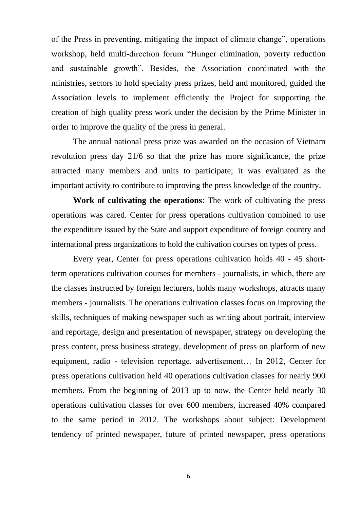of the Press in preventing, mitigating the impact of climate change", operations workshop, held multi-direction forum "Hunger elimination, poverty reduction and sustainable growth". Besides, the Association coordinated with the ministries, sectors to hold specialty press prizes, held and monitored, guided the Association levels to implement efficiently the Project for supporting the creation of high quality press work under the decision by the Prime Minister in order to improve the quality of the press in general.

The annual national press prize was awarded on the occasion of Vietnam revolution press day 21/6 so that the prize has more significance, the prize attracted many members and units to participate; it was evaluated as the important activity to contribute to improving the press knowledge of the country.

**Work of cultivating the operations**: The work of cultivating the press operations was cared. Center for press operations cultivation combined to use the expenditure issued by the State and support expenditure of foreign country and international press organizations to hold the cultivation courses on types of press.

Every year, Center for press operations cultivation holds 40 - 45 shortterm operations cultivation courses for members - journalists, in which, there are the classes instructed by foreign lecturers, holds many workshops, attracts many members - journalists. The operations cultivation classes focus on improving the skills, techniques of making newspaper such as writing about portrait, interview and reportage, design and presentation of newspaper, strategy on developing the press content, press business strategy, development of press on platform of new equipment, radio - television reportage, advertisement… In 2012, Center for press operations cultivation held 40 operations cultivation classes for nearly 900 members. From the beginning of 2013 up to now, the Center held nearly 30 operations cultivation classes for over 600 members, increased 40% compared to the same period in 2012. The workshops about subject: Development tendency of printed newspaper, future of printed newspaper, press operations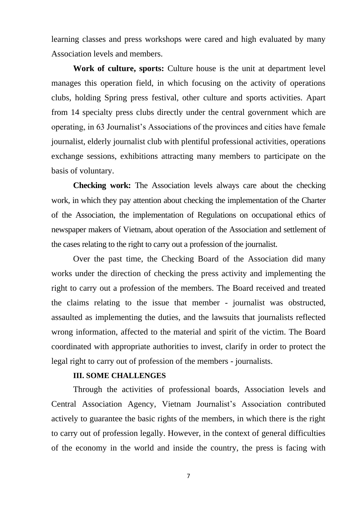learning classes and press workshops were cared and high evaluated by many Association levels and members.

**Work of culture, sports:** Culture house is the unit at department level manages this operation field, in which focusing on the activity of operations clubs, holding Spring press festival, other culture and sports activities. Apart from 14 specialty press clubs directly under the central government which are operating, in 63 Journalist's Associations of the provinces and cities have female journalist, elderly journalist club with plentiful professional activities, operations exchange sessions, exhibitions attracting many members to participate on the basis of voluntary.

**Checking work:** The Association levels always care about the checking work, in which they pay attention about checking the implementation of the Charter of the Association, the implementation of Regulations on occupational ethics of newspaper makers of Vietnam, about operation of the Association and settlement of the cases relating to the right to carry out a profession of the journalist.

Over the past time, the Checking Board of the Association did many works under the direction of checking the press activity and implementing the right to carry out a profession of the members. The Board received and treated the claims relating to the issue that member - journalist was obstructed, assaulted as implementing the duties, and the lawsuits that journalists reflected wrong information, affected to the material and spirit of the victim. The Board coordinated with appropriate authorities to invest, clarify in order to protect the legal right to carry out of profession of the members - journalists.

### **III. SOME CHALLENGES**

Through the activities of professional boards, Association levels and Central Association Agency, Vietnam Journalist's Association contributed actively to guarantee the basic rights of the members, in which there is the right to carry out of profession legally. However, in the context of general difficulties of the economy in the world and inside the country, the press is facing with